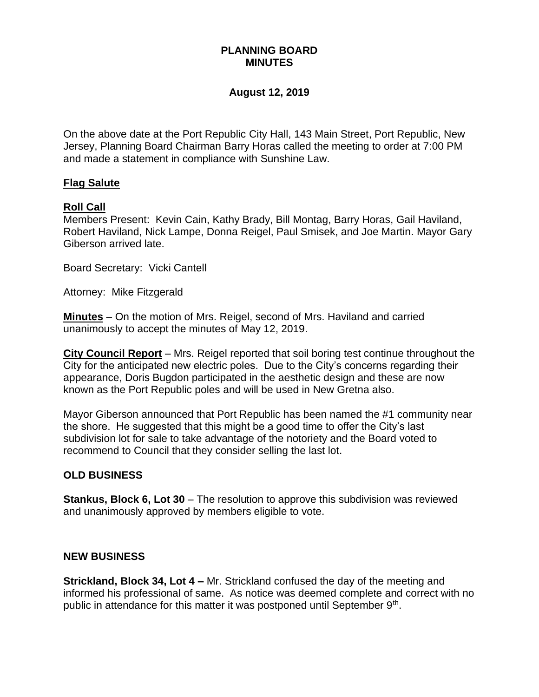# **PLANNING BOARD MINUTES**

#### **August 12, 2019**

On the above date at the Port Republic City Hall, 143 Main Street, Port Republic, New Jersey, Planning Board Chairman Barry Horas called the meeting to order at 7:00 PM and made a statement in compliance with Sunshine Law.

### **Flag Salute**

### **Roll Call**

Members Present: Kevin Cain, Kathy Brady, Bill Montag, Barry Horas, Gail Haviland, Robert Haviland, Nick Lampe, Donna Reigel, Paul Smisek, and Joe Martin. Mayor Gary Giberson arrived late.

Board Secretary: Vicki Cantell

Attorney: Mike Fitzgerald

**Minutes** – On the motion of Mrs. Reigel, second of Mrs. Haviland and carried unanimously to accept the minutes of May 12, 2019.

**City Council Report** – Mrs. Reigel reported that soil boring test continue throughout the City for the anticipated new electric poles. Due to the City's concerns regarding their appearance, Doris Bugdon participated in the aesthetic design and these are now known as the Port Republic poles and will be used in New Gretna also.

Mayor Giberson announced that Port Republic has been named the #1 community near the shore. He suggested that this might be a good time to offer the City's last subdivision lot for sale to take advantage of the notoriety and the Board voted to recommend to Council that they consider selling the last lot.

#### **OLD BUSINESS**

**Stankus, Block 6, Lot 30** – The resolution to approve this subdivision was reviewed and unanimously approved by members eligible to vote.

#### **NEW BUSINESS**

**Strickland, Block 34, Lot 4 –** Mr. Strickland confused the day of the meeting and informed his professional of same. As notice was deemed complete and correct with no public in attendance for this matter it was postponed until September 9<sup>th</sup>.